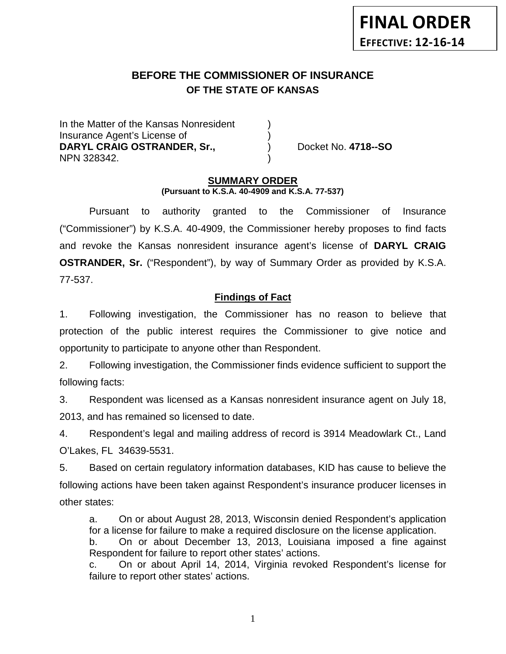# **BEFORE THE COMMISSIONER OF INSURANCE OF THE STATE OF KANSAS**

In the Matter of the Kansas Nonresident Insurance Agent's License of ) **DARYL CRAIG OSTRANDER, Sr., St., St., Docket No. 4718--SO** NPN 328342. )

### **SUMMARY ORDER (Pursuant to K.S.A. 40-4909 and K.S.A. 77-537)**

Pursuant to authority granted to the Commissioner of Insurance ("Commissioner") by K.S.A. 40-4909, the Commissioner hereby proposes to find facts and revoke the Kansas nonresident insurance agent's license of **DARYL CRAIG OSTRANDER, Sr.** ("Respondent"), by way of Summary Order as provided by K.S.A. 77-537.

## **Findings of Fact**

1. Following investigation, the Commissioner has no reason to believe that protection of the public interest requires the Commissioner to give notice and opportunity to participate to anyone other than Respondent.

2. Following investigation, the Commissioner finds evidence sufficient to support the following facts:

3. Respondent was licensed as a Kansas nonresident insurance agent on July 18, 2013, and has remained so licensed to date.

4. Respondent's legal and mailing address of record is 3914 Meadowlark Ct., Land O'Lakes, FL 34639-5531.

5. Based on certain regulatory information databases, KID has cause to believe the following actions have been taken against Respondent's insurance producer licenses in other states:

a. On or about August 28, 2013, Wisconsin denied Respondent's application for a license for failure to make a required disclosure on the license application.

b. On or about December 13, 2013, Louisiana imposed a fine against Respondent for failure to report other states' actions.

c. On or about April 14, 2014, Virginia revoked Respondent's license for failure to report other states' actions.

1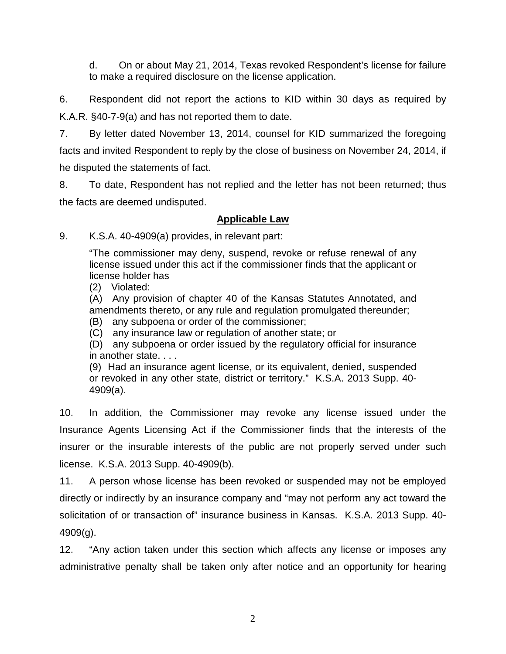d. On or about May 21, 2014, Texas revoked Respondent's license for failure to make a required disclosure on the license application.

6. Respondent did not report the actions to KID within 30 days as required by K.A.R. §40-7-9(a) and has not reported them to date.

7. By letter dated November 13, 2014, counsel for KID summarized the foregoing facts and invited Respondent to reply by the close of business on November 24, 2014, if he disputed the statements of fact.

8. To date, Respondent has not replied and the letter has not been returned; thus the facts are deemed undisputed.

## **Applicable Law**

9. K.S.A. 40-4909(a) provides, in relevant part:

"The commissioner may deny, suspend, revoke or refuse renewal of any license issued under this act if the commissioner finds that the applicant or license holder has

(2) Violated:

(A) Any provision of chapter 40 of the Kansas Statutes Annotated, and amendments thereto, or any rule and regulation promulgated thereunder;

(B) any subpoena or order of the commissioner;

(C) any insurance law or regulation of another state; or

(D) any subpoena or order issued by the regulatory official for insurance in another state. . . .

(9) Had an insurance agent license, or its equivalent, denied, suspended or revoked in any other state, district or territory." K.S.A. 2013 Supp. 40- 4909(a).

10. In addition, the Commissioner may revoke any license issued under the Insurance Agents Licensing Act if the Commissioner finds that the interests of the insurer or the insurable interests of the public are not properly served under such license. K.S.A. 2013 Supp. 40-4909(b).

11. A person whose license has been revoked or suspended may not be employed directly or indirectly by an insurance company and "may not perform any act toward the solicitation of or transaction of" insurance business in Kansas. K.S.A. 2013 Supp. 40- 4909(g).

12. "Any action taken under this section which affects any license or imposes any administrative penalty shall be taken only after notice and an opportunity for hearing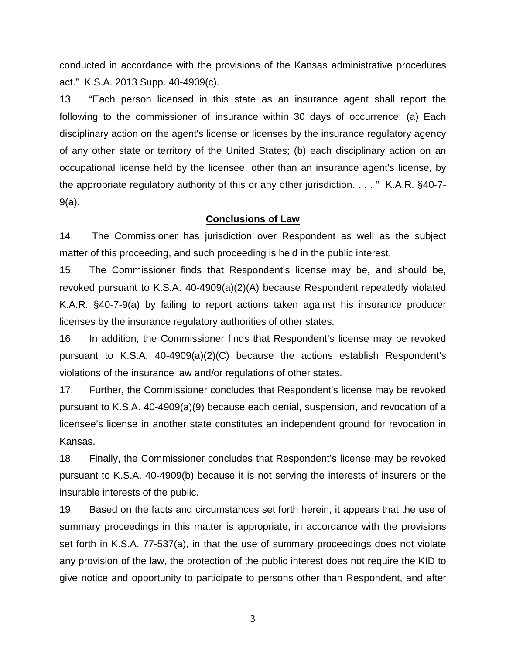conducted in accordance with the provisions of the Kansas administrative procedures act." K.S.A. 2013 Supp. 40-4909(c).

13. "Each person licensed in this state as an insurance agent shall report the following to the commissioner of insurance within 30 days of occurrence: (a) Each disciplinary action on the agent's license or licenses by the insurance regulatory agency of any other state or territory of the United States; (b) each disciplinary action on an occupational license held by the licensee, other than an insurance agent's license, by the appropriate regulatory authority of this or any other jurisdiction. . . . " K.A.R. §40-7- 9(a).

#### **Conclusions of Law**

14. The Commissioner has jurisdiction over Respondent as well as the subject matter of this proceeding, and such proceeding is held in the public interest.

15. The Commissioner finds that Respondent's license may be, and should be, revoked pursuant to K.S.A. 40-4909(a)(2)(A) because Respondent repeatedly violated K.A.R. §40-7-9(a) by failing to report actions taken against his insurance producer licenses by the insurance regulatory authorities of other states.

16. In addition, the Commissioner finds that Respondent's license may be revoked pursuant to K.S.A. 40-4909(a)(2)(C) because the actions establish Respondent's violations of the insurance law and/or regulations of other states.

17. Further, the Commissioner concludes that Respondent's license may be revoked pursuant to K.S.A. 40-4909(a)(9) because each denial, suspension, and revocation of a licensee's license in another state constitutes an independent ground for revocation in Kansas.

18. Finally, the Commissioner concludes that Respondent's license may be revoked pursuant to K.S.A. 40-4909(b) because it is not serving the interests of insurers or the insurable interests of the public.

19. Based on the facts and circumstances set forth herein, it appears that the use of summary proceedings in this matter is appropriate, in accordance with the provisions set forth in K.S.A. 77-537(a), in that the use of summary proceedings does not violate any provision of the law, the protection of the public interest does not require the KID to give notice and opportunity to participate to persons other than Respondent, and after

3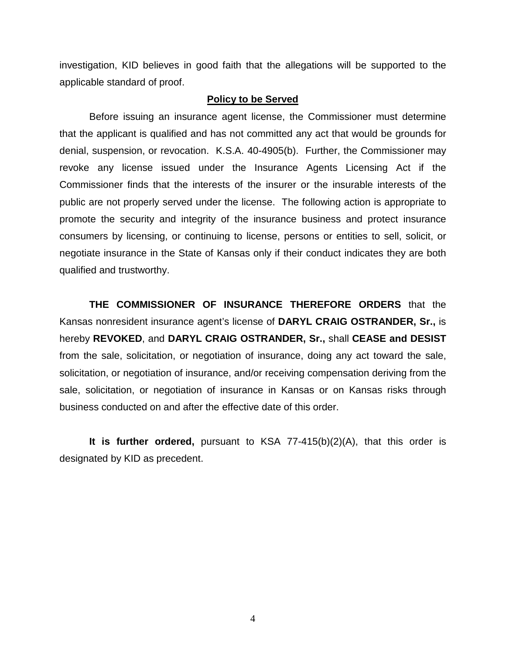investigation, KID believes in good faith that the allegations will be supported to the applicable standard of proof.

#### **Policy to be Served**

Before issuing an insurance agent license, the Commissioner must determine that the applicant is qualified and has not committed any act that would be grounds for denial, suspension, or revocation. K.S.A. 40-4905(b). Further, the Commissioner may revoke any license issued under the Insurance Agents Licensing Act if the Commissioner finds that the interests of the insurer or the insurable interests of the public are not properly served under the license. The following action is appropriate to promote the security and integrity of the insurance business and protect insurance consumers by licensing, or continuing to license, persons or entities to sell, solicit, or negotiate insurance in the State of Kansas only if their conduct indicates they are both qualified and trustworthy.

**THE COMMISSIONER OF INSURANCE THEREFORE ORDERS** that the Kansas nonresident insurance agent's license of **DARYL CRAIG OSTRANDER, Sr.,** is hereby **REVOKED**, and **DARYL CRAIG OSTRANDER, Sr.,** shall **CEASE and DESIST** from the sale, solicitation, or negotiation of insurance, doing any act toward the sale, solicitation, or negotiation of insurance, and/or receiving compensation deriving from the sale, solicitation, or negotiation of insurance in Kansas or on Kansas risks through business conducted on and after the effective date of this order.

**It is further ordered,** pursuant to KSA 77-415(b)(2)(A), that this order is designated by KID as precedent.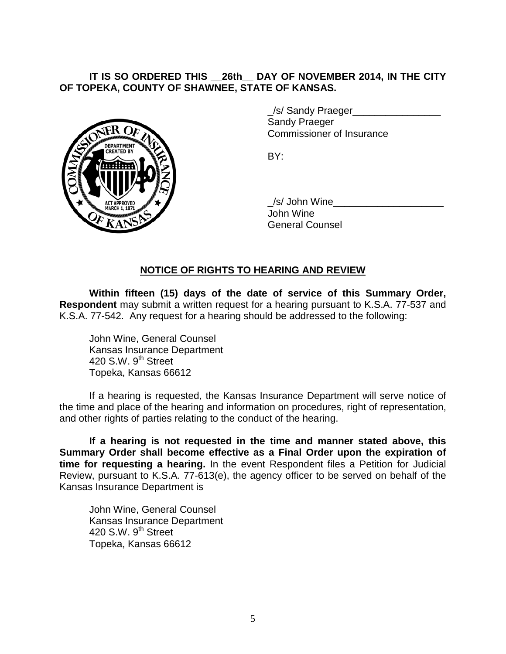## **IT IS SO ORDERED THIS \_\_26th\_\_ DAY OF NOVEMBER 2014, IN THE CITY OF TOPEKA, COUNTY OF SHAWNEE, STATE OF KANSAS.**



/s/ Sandy Praeger Sandy Praeger Commissioner of Insurance

BY:

/s/ John Wine John Wine General Counsel

### **NOTICE OF RIGHTS TO HEARING AND REVIEW**

**Within fifteen (15) days of the date of service of this Summary Order, Respondent** may submit a written request for a hearing pursuant to K.S.A. 77-537 and K.S.A. 77-542. Any request for a hearing should be addressed to the following:

John Wine, General Counsel Kansas Insurance Department 420 S.W.  $9<sup>th</sup>$  Street Topeka, Kansas 66612

If a hearing is requested, the Kansas Insurance Department will serve notice of the time and place of the hearing and information on procedures, right of representation, and other rights of parties relating to the conduct of the hearing.

**If a hearing is not requested in the time and manner stated above, this Summary Order shall become effective as a Final Order upon the expiration of time for requesting a hearing.** In the event Respondent files a Petition for Judicial Review, pursuant to K.S.A. 77-613(e), the agency officer to be served on behalf of the Kansas Insurance Department is

John Wine, General Counsel Kansas Insurance Department 420 S.W. 9<sup>th</sup> Street Topeka, Kansas 66612